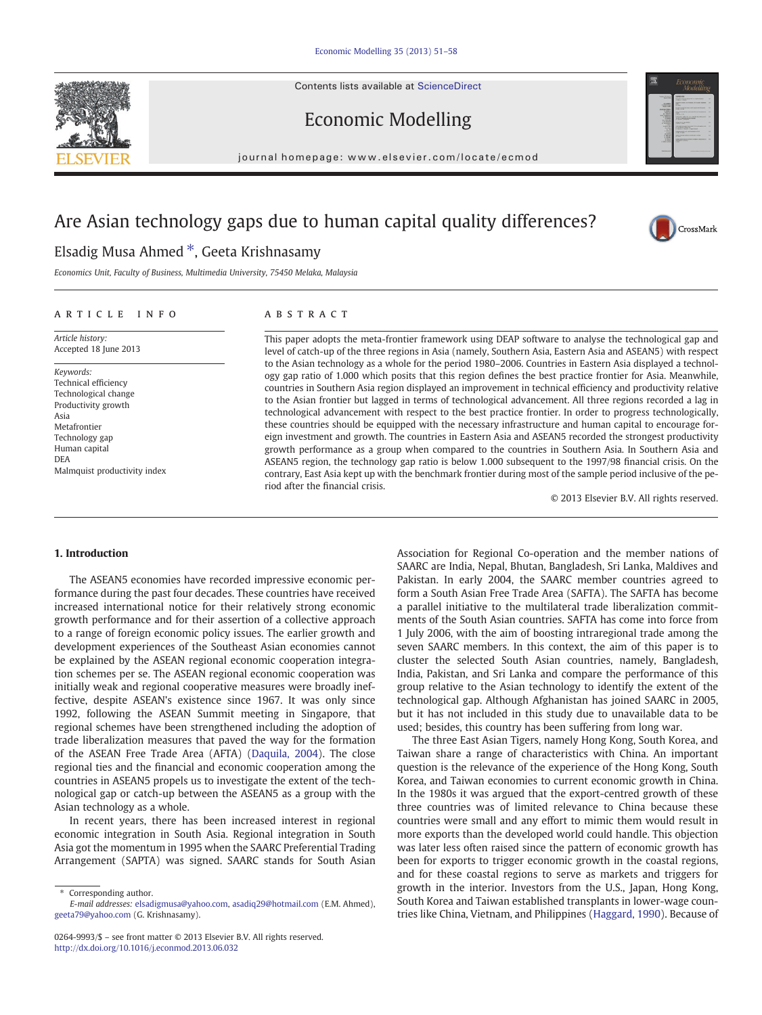Contents lists available at [ScienceDirect](http://www.sciencedirect.com/science/journal/02649993)





CrossMark

Economic Modelling

journal homepage: www.elsevier.com/locate/ecmod

# Are Asian technology gaps due to human capital quality differences?

## Elsadig Musa Ahmed ⁎, Geeta Krishnasamy

Economics Unit, Faculty of Business, Multimedia University, 75450 Melaka, Malaysia

#### article info abstract

Article history: Accepted 18 June 2013

Keywords: Technical efficiency Technological change Productivity growth Asia Metafrontier Technology gap Human capital DEA Malmquist productivity index

This paper adopts the meta-frontier framework using DEAP software to analyse the technological gap and level of catch-up of the three regions in Asia (namely, Southern Asia, Eastern Asia and ASEAN5) with respect to the Asian technology as a whole for the period 1980–2006. Countries in Eastern Asia displayed a technology gap ratio of 1.000 which posits that this region defines the best practice frontier for Asia. Meanwhile, countries in Southern Asia region displayed an improvement in technical efficiency and productivity relative to the Asian frontier but lagged in terms of technological advancement. All three regions recorded a lag in technological advancement with respect to the best practice frontier. In order to progress technologically, these countries should be equipped with the necessary infrastructure and human capital to encourage foreign investment and growth. The countries in Eastern Asia and ASEAN5 recorded the strongest productivity growth performance as a group when compared to the countries in Southern Asia. In Southern Asia and ASEAN5 region, the technology gap ratio is below 1.000 subsequent to the 1997/98 financial crisis. On the contrary, East Asia kept up with the benchmark frontier during most of the sample period inclusive of the period after the financial crisis.

© 2013 Elsevier B.V. All rights reserved.

### 1. Introduction

The ASEAN5 economies have recorded impressive economic performance during the past four decades. These countries have received increased international notice for their relatively strong economic growth performance and for their assertion of a collective approach to a range of foreign economic policy issues. The earlier growth and development experiences of the Southeast Asian economies cannot be explained by the ASEAN regional economic cooperation integration schemes per se. The ASEAN regional economic cooperation was initially weak and regional cooperative measures were broadly ineffective, despite ASEAN's existence since 1967. It was only since 1992, following the ASEAN Summit meeting in Singapore, that regional schemes have been strengthened including the adoption of trade liberalization measures that paved the way for the formation of the ASEAN Free Trade Area (AFTA) ([Daquila, 2004\)](#page--1-0). The close regional ties and the financial and economic cooperation among the countries in ASEAN5 propels us to investigate the extent of the technological gap or catch-up between the ASEAN5 as a group with the Asian technology as a whole.

In recent years, there has been increased interest in regional economic integration in South Asia. Regional integration in South Asia got the momentum in 1995 when the SAARC Preferential Trading Arrangement (SAPTA) was signed. SAARC stands for South Asian

Corresponding author. E-mail addresses: [elsadigmusa@yahoo.com](mailto:elsadigmusa@yahoo.com), [asadiq29@hotmail.com](mailto:asadiq29@hotmail.com) (E.M. Ahmed), [geeta79@yahoo.com](mailto:geeta79@yahoo.com) (G. Krishnasamy).

0264-9993/\$ – see front matter © 2013 Elsevier B.V. All rights reserved. <http://dx.doi.org/10.1016/j.econmod.2013.06.032>

Association for Regional Co-operation and the member nations of SAARC are India, Nepal, Bhutan, Bangladesh, Sri Lanka, Maldives and Pakistan. In early 2004, the SAARC member countries agreed to form a South Asian Free Trade Area (SAFTA). The SAFTA has become a parallel initiative to the multilateral trade liberalization commitments of the South Asian countries. SAFTA has come into force from 1 July 2006, with the aim of boosting intraregional trade among the seven SAARC members. In this context, the aim of this paper is to cluster the selected South Asian countries, namely, Bangladesh, India, Pakistan, and Sri Lanka and compare the performance of this group relative to the Asian technology to identify the extent of the technological gap. Although Afghanistan has joined SAARC in 2005, but it has not included in this study due to unavailable data to be used; besides, this country has been suffering from long war.

The three East Asian Tigers, namely Hong Kong, South Korea, and Taiwan share a range of characteristics with China. An important question is the relevance of the experience of the Hong Kong, South Korea, and Taiwan economies to current economic growth in China. In the 1980s it was argued that the export-centred growth of these three countries was of limited relevance to China because these countries were small and any effort to mimic them would result in more exports than the developed world could handle. This objection was later less often raised since the pattern of economic growth has been for exports to trigger economic growth in the coastal regions, and for these coastal regions to serve as markets and triggers for growth in the interior. Investors from the U.S., Japan, Hong Kong, South Korea and Taiwan established transplants in lower-wage countries like China, Vietnam, and Philippines ([Haggard, 1990](#page--1-0)). Because of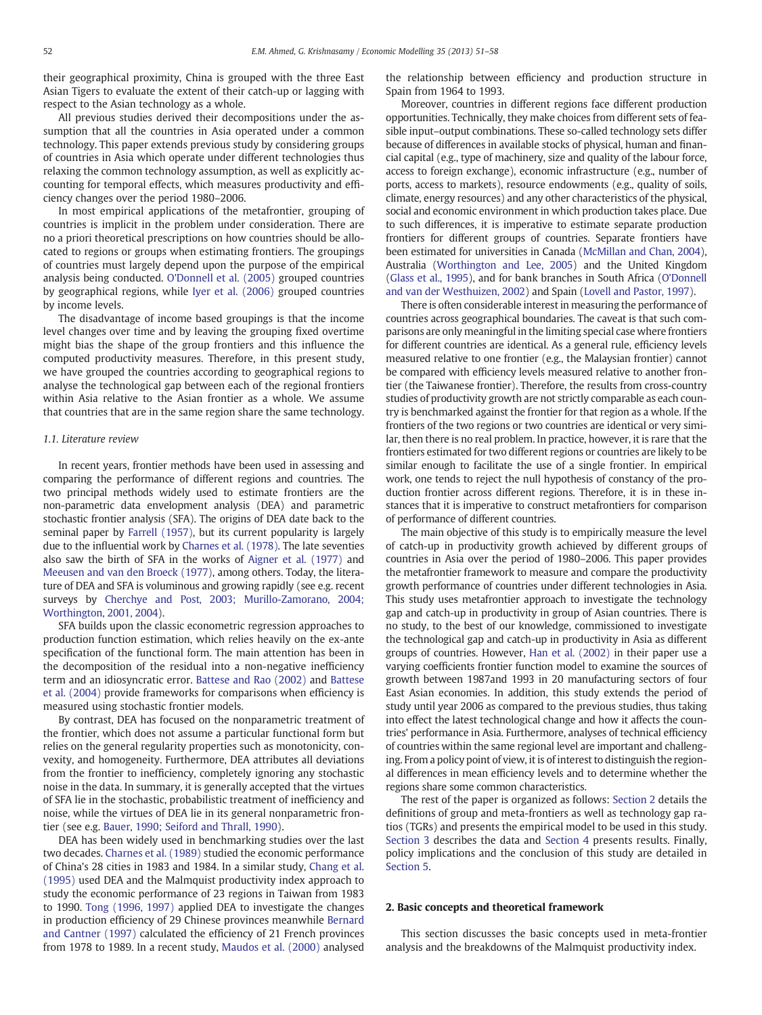their geographical proximity, China is grouped with the three East Asian Tigers to evaluate the extent of their catch-up or lagging with respect to the Asian technology as a whole.

All previous studies derived their decompositions under the assumption that all the countries in Asia operated under a common technology. This paper extends previous study by considering groups of countries in Asia which operate under different technologies thus relaxing the common technology assumption, as well as explicitly accounting for temporal effects, which measures productivity and efficiency changes over the period 1980–2006.

In most empirical applications of the metafrontier, grouping of countries is implicit in the problem under consideration. There are no a priori theoretical prescriptions on how countries should be allocated to regions or groups when estimating frontiers. The groupings of countries must largely depend upon the purpose of the empirical analysis being conducted. [O'Donnell et al. \(2005\)](#page--1-0) grouped countries by geographical regions, while [Iyer et al. \(2006\)](#page--1-0) grouped countries by income levels.

The disadvantage of income based groupings is that the income level changes over time and by leaving the grouping fixed overtime might bias the shape of the group frontiers and this influence the computed productivity measures. Therefore, in this present study, we have grouped the countries according to geographical regions to analyse the technological gap between each of the regional frontiers within Asia relative to the Asian frontier as a whole. We assume that countries that are in the same region share the same technology.

#### 1.1. Literature review

In recent years, frontier methods have been used in assessing and comparing the performance of different regions and countries. The two principal methods widely used to estimate frontiers are the non-parametric data envelopment analysis (DEA) and parametric stochastic frontier analysis (SFA). The origins of DEA date back to the seminal paper by [Farrell \(1957\),](#page--1-0) but its current popularity is largely due to the influential work by [Charnes et al. \(1978\)](#page--1-0). The late seventies also saw the birth of SFA in the works of [Aigner et al. \(1977\)](#page--1-0) and [Meeusen and van den Broeck \(1977\)](#page--1-0), among others. Today, the literature of DEA and SFA is voluminous and growing rapidly (see e.g. recent surveys by [Cherchye and Post, 2003; Murillo-Zamorano, 2004;](#page--1-0) [Worthington, 2001, 2004](#page--1-0)).

SFA builds upon the classic econometric regression approaches to production function estimation, which relies heavily on the ex-ante specification of the functional form. The main attention has been in the decomposition of the residual into a non-negative inefficiency term and an idiosyncratic error. [Battese and Rao \(2002\)](#page--1-0) and [Battese](#page--1-0) [et al. \(2004\)](#page--1-0) provide frameworks for comparisons when efficiency is measured using stochastic frontier models.

By contrast, DEA has focused on the nonparametric treatment of the frontier, which does not assume a particular functional form but relies on the general regularity properties such as monotonicity, convexity, and homogeneity. Furthermore, DEA attributes all deviations from the frontier to inefficiency, completely ignoring any stochastic noise in the data. In summary, it is generally accepted that the virtues of SFA lie in the stochastic, probabilistic treatment of inefficiency and noise, while the virtues of DEA lie in its general nonparametric frontier (see e.g. [Bauer, 1990; Seiford and Thrall, 1990\)](#page--1-0).

DEA has been widely used in benchmarking studies over the last two decades. [Charnes et al. \(1989\)](#page--1-0) studied the economic performance of China's 28 cities in 1983 and 1984. In a similar study, [Chang et al.](#page--1-0) [\(1995\)](#page--1-0) used DEA and the Malmquist productivity index approach to study the economic performance of 23 regions in Taiwan from 1983 to 1990. [Tong \(1996, 1997\)](#page--1-0) applied DEA to investigate the changes in production efficiency of 29 Chinese provinces meanwhile [Bernard](#page--1-0) [and Cantner \(1997\)](#page--1-0) calculated the efficiency of 21 French provinces from 1978 to 1989. In a recent study, [Maudos et al. \(2000\)](#page--1-0) analysed the relationship between efficiency and production structure in Spain from 1964 to 1993.

Moreover, countries in different regions face different production opportunities. Technically, they make choices from different sets of feasible input–output combinations. These so-called technology sets differ because of differences in available stocks of physical, human and financial capital (e.g., type of machinery, size and quality of the labour force, access to foreign exchange), economic infrastructure (e.g., number of ports, access to markets), resource endowments (e.g., quality of soils, climate, energy resources) and any other characteristics of the physical, social and economic environment in which production takes place. Due to such differences, it is imperative to estimate separate production frontiers for different groups of countries. Separate frontiers have been estimated for universities in Canada ([McMillan and Chan, 2004\)](#page--1-0), Australia ([Worthington and Lee, 2005\)](#page--1-0) and the United Kingdom [\(Glass et al., 1995](#page--1-0)), and for bank branches in South Africa ([O'Donnell](#page--1-0) [and van der Westhuizen, 2002\)](#page--1-0) and Spain ([Lovell and Pastor, 1997\)](#page--1-0).

There is often considerable interest in measuring the performance of countries across geographical boundaries. The caveat is that such comparisons are only meaningful in the limiting special case where frontiers for different countries are identical. As a general rule, efficiency levels measured relative to one frontier (e.g., the Malaysian frontier) cannot be compared with efficiency levels measured relative to another frontier (the Taiwanese frontier). Therefore, the results from cross-country studies of productivity growth are not strictly comparable as each country is benchmarked against the frontier for that region as a whole. If the frontiers of the two regions or two countries are identical or very similar, then there is no real problem. In practice, however, it is rare that the frontiers estimated for two different regions or countries are likely to be similar enough to facilitate the use of a single frontier. In empirical work, one tends to reject the null hypothesis of constancy of the production frontier across different regions. Therefore, it is in these instances that it is imperative to construct metafrontiers for comparison of performance of different countries.

The main objective of this study is to empirically measure the level of catch-up in productivity growth achieved by different groups of countries in Asia over the period of 1980–2006. This paper provides the metafrontier framework to measure and compare the productivity growth performance of countries under different technologies in Asia. This study uses metafrontier approach to investigate the technology gap and catch-up in productivity in group of Asian countries. There is no study, to the best of our knowledge, commissioned to investigate the technological gap and catch-up in productivity in Asia as different groups of countries. However, [Han et al. \(2002\)](#page--1-0) in their paper use a varying coefficients frontier function model to examine the sources of growth between 1987and 1993 in 20 manufacturing sectors of four East Asian economies. In addition, this study extends the period of study until year 2006 as compared to the previous studies, thus taking into effect the latest technological change and how it affects the countries' performance in Asia. Furthermore, analyses of technical efficiency of countries within the same regional level are important and challenging. From a policy point of view, it is of interest to distinguish the regional differences in mean efficiency levels and to determine whether the regions share some common characteristics.

The rest of the paper is organized as follows: Section 2 details the definitions of group and meta-frontiers as well as technology gap ratios (TGRs) and presents the empirical model to be used in this study. [Section 3](#page--1-0) describes the data and [Section 4](#page--1-0) presents results. Finally, policy implications and the conclusion of this study are detailed in [Section 5](#page--1-0).

#### 2. Basic concepts and theoretical framework

This section discusses the basic concepts used in meta-frontier analysis and the breakdowns of the Malmquist productivity index.